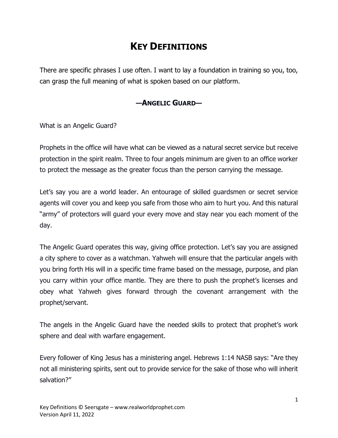# **KEY DEFINITIONS**

There are specific phrases I use often. I want to lay a foundation in training so you, too, can grasp the full meaning of what is spoken based on our platform.

# **—ANGELIC GUARD—**

What is an Angelic Guard?

Prophets in the office will have what can be viewed as a natural secret service but receive protection in the spirit realm. Three to four angels minimum are given to an office worker to protect the message as the greater focus than the person carrying the message.

Let's say you are a world leader. An entourage of skilled guardsmen or secret service agents will cover you and keep you safe from those who aim to hurt you. And this natural "army" of protectors will guard your every move and stay near you each moment of the day.

The Angelic Guard operates this way, giving office protection. Let's say you are assigned a city sphere to cover as a watchman. Yahweh will ensure that the particular angels with you bring forth His will in a specific time frame based on the message, purpose, and plan you carry within your office mantle. They are there to push the prophet's licenses and obey what Yahweh gives forward through the covenant arrangement with the prophet/servant.

The angels in the Angelic Guard have the needed skills to protect that prophet's work sphere and deal with warfare engagement.

Every follower of King Jesus has a ministering angel. Hebrews 1:14 NASB says: "Are they not all ministering spirits, sent out to provide service for the sake of those who will inherit salvation?"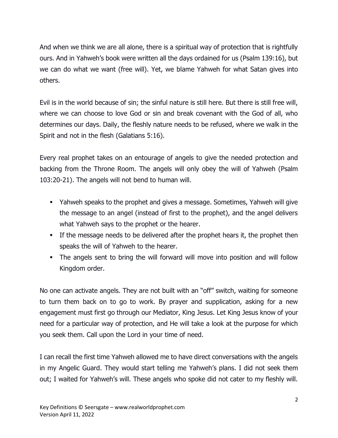And when we think we are all alone, there is a spiritual way of protection that is rightfully ours. And in Yahweh's book were written all the days ordained for us (Psalm 139:16), but we can do what we want (free will). Yet, we blame Yahweh for what Satan gives into others.

Evil is in the world because of sin; the sinful nature is still here. But there is still free will, where we can choose to love God or sin and break covenant with the God of all, who determines our days. Daily, the fleshly nature needs to be refused, where we walk in the Spirit and not in the flesh (Galatians 5:16).

Every real prophet takes on an entourage of angels to give the needed protection and backing from the Throne Room. The angels will only obey the will of Yahweh (Psalm 103:20-21). The angels will not bend to human will.

- Yahweh speaks to the prophet and gives a message. Sometimes, Yahweh will give the message to an angel (instead of first to the prophet), and the angel delivers what Yahweh says to the prophet or the hearer.
- If the message needs to be delivered after the prophet hears it, the prophet then speaks the will of Yahweh to the hearer.
- **.** The angels sent to bring the will forward will move into position and will follow Kingdom order.

No one can activate angels. They are not built with an "off" switch, waiting for someone to turn them back on to go to work. By prayer and supplication, asking for a new engagement must first go through our Mediator, King Jesus. Let King Jesus know of your need for a particular way of protection, and He will take a look at the purpose for which you seek them. Call upon the Lord in your time of need.

I can recall the first time Yahweh allowed me to have direct conversations with the angels in my Angelic Guard. They would start telling me Yahweh's plans. I did not seek them out; I waited for Yahweh's will. These angels who spoke did not cater to my fleshly will.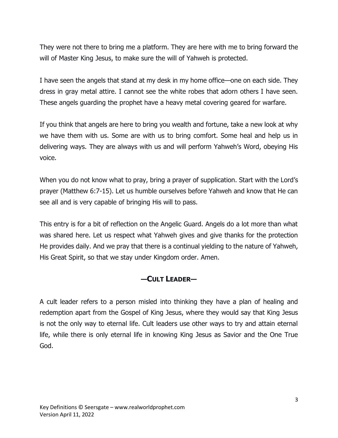They were not there to bring me a platform. They are here with me to bring forward the will of Master King Jesus, to make sure the will of Yahweh is protected.

I have seen the angels that stand at my desk in my home office—one on each side. They dress in gray metal attire. I cannot see the white robes that adorn others I have seen. These angels guarding the prophet have a heavy metal covering geared for warfare.

If you think that angels are here to bring you wealth and fortune, take a new look at why we have them with us. Some are with us to bring comfort. Some heal and help us in delivering ways. They are always with us and will perform Yahweh's Word, obeying His voice.

When you do not know what to pray, bring a prayer of supplication. Start with the Lord's prayer (Matthew 6:7-15). Let us humble ourselves before Yahweh and know that He can see all and is very capable of bringing His will to pass.

This entry is for a bit of reflection on the Angelic Guard. Angels do a lot more than what was shared here. Let us respect what Yahweh gives and give thanks for the protection He provides daily. And we pray that there is a continual yielding to the nature of Yahweh, His Great Spirit, so that we stay under Kingdom order. Amen.

## **—CULT LEADER—**

A cult leader refers to a person misled into thinking they have a plan of healing and redemption apart from the Gospel of King Jesus, where they would say that King Jesus is not the only way to eternal life. Cult leaders use other ways to try and attain eternal life, while there is only eternal life in knowing King Jesus as Savior and the One True God.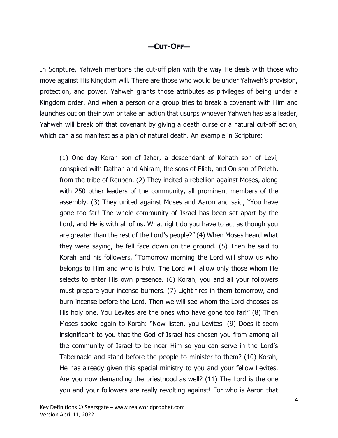#### **—CUT-OFF—**

In Scripture, Yahweh mentions the cut-off plan with the way He deals with those who move against His Kingdom will. There are those who would be under Yahweh's provision, protection, and power. Yahweh grants those attributes as privileges of being under a Kingdom order. And when a person or a group tries to break a covenant with Him and launches out on their own or take an action that usurps whoever Yahweh has as a leader, Yahweh will break off that covenant by giving a death curse or a natural cut-off action, which can also manifest as a plan of natural death. An example in Scripture:

(1) One day Korah son of Izhar, a descendant of Kohath son of Levi, conspired with Dathan and Abiram, the sons of Eliab, and On son of Peleth, from the tribe of Reuben. (2) They incited a rebellion against Moses, along with 250 other leaders of the community, all prominent members of the assembly. (3) They united against Moses and Aaron and said, "You have gone too far! The whole community of Israel has been set apart by the Lord, and He is with all of us. What right do you have to act as though you are greater than the rest of the Lord's people?" (4) When Moses heard what they were saying, he fell face down on the ground. (5) Then he said to Korah and his followers, "Tomorrow morning the Lord will show us who belongs to Him and who is holy. The Lord will allow only those whom He selects to enter His own presence. (6) Korah, you and all your followers must prepare your incense burners. (7) Light fires in them tomorrow, and burn incense before the Lord. Then we will see whom the Lord chooses as His holy one. You Levites are the ones who have gone too far!" (8) Then Moses spoke again to Korah: "Now listen, you Levites! (9) Does it seem insignificant to you that the God of Israel has chosen you from among all the community of Israel to be near Him so you can serve in the Lord's Tabernacle and stand before the people to minister to them? (10) Korah, He has already given this special ministry to you and your fellow Levites. Are you now demanding the priesthood as well? (11) The Lord is the one you and your followers are really revolting against! For who is Aaron that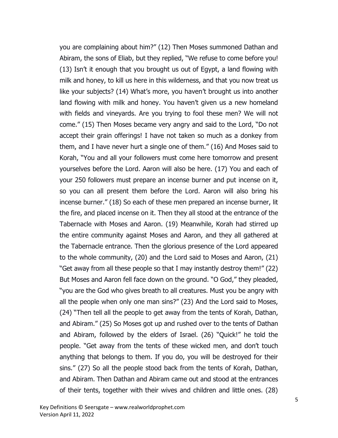you are complaining about him?" (12) Then Moses summoned Dathan and Abiram, the sons of Eliab, but they replied, "We refuse to come before you! (13) Isn't it enough that you brought us out of Egypt, a land flowing with milk and honey, to kill us here in this wilderness, and that you now treat us like your subjects? (14) What's more, you haven't brought us into another land flowing with milk and honey. You haven't given us a new homeland with fields and vineyards. Are you trying to fool these men? We will not come." (15) Then Moses became very angry and said to the Lord, "Do not accept their grain offerings! I have not taken so much as a donkey from them, and I have never hurt a single one of them." (16) And Moses said to Korah, "You and all your followers must come here tomorrow and present yourselves before the Lord. Aaron will also be here. (17) You and each of your 250 followers must prepare an incense burner and put incense on it, so you can all present them before the Lord. Aaron will also bring his incense burner." (18) So each of these men prepared an incense burner, lit the fire, and placed incense on it. Then they all stood at the entrance of the Tabernacle with Moses and Aaron. (19) Meanwhile, Korah had stirred up the entire community against Moses and Aaron, and they all gathered at the Tabernacle entrance. Then the glorious presence of the Lord appeared to the whole community, (20) and the Lord said to Moses and Aaron, (21) "Get away from all these people so that I may instantly destroy them!" (22) But Moses and Aaron fell face down on the ground. "O God," they pleaded, "you are the God who gives breath to all creatures. Must you be angry with all the people when only one man sins?" (23) And the Lord said to Moses, (24) "Then tell all the people to get away from the tents of Korah, Dathan, and Abiram." (25) So Moses got up and rushed over to the tents of Dathan and Abiram, followed by the elders of Israel. (26) "Quick!" he told the people. "Get away from the tents of these wicked men, and don't touch anything that belongs to them. If you do, you will be destroyed for their sins." (27) So all the people stood back from the tents of Korah, Dathan, and Abiram. Then Dathan and Abiram came out and stood at the entrances of their tents, together with their wives and children and little ones. (28)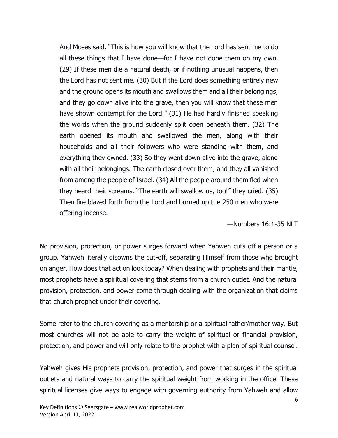And Moses said, "This is how you will know that the Lord has sent me to do all these things that I have done—for I have not done them on my own. (29) If these men die a natural death, or if nothing unusual happens, then the Lord has not sent me. (30) But if the Lord does something entirely new and the ground opens its mouth and swallows them and all their belongings, and they go down alive into the grave, then you will know that these men have shown contempt for the Lord." (31) He had hardly finished speaking the words when the ground suddenly split open beneath them. (32) The earth opened its mouth and swallowed the men, along with their households and all their followers who were standing with them, and everything they owned. (33) So they went down alive into the grave, along with all their belongings. The earth closed over them, and they all vanished from among the people of Israel. (34) All the people around them fled when they heard their screams. "The earth will swallow us, too!" they cried. (35) Then fire blazed forth from the Lord and burned up the 250 men who were offering incense.

—Numbers 16:1-35 NLT

No provision, protection, or power surges forward when Yahweh cuts off a person or a group. Yahweh literally disowns the cut-off, separating Himself from those who brought on anger. How does that action look today? When dealing with prophets and their mantle, most prophets have a spiritual covering that stems from a church outlet. And the natural provision, protection, and power come through dealing with the organization that claims that church prophet under their covering.

Some refer to the church covering as a mentorship or a spiritual father/mother way. But most churches will not be able to carry the weight of spiritual or financial provision, protection, and power and will only relate to the prophet with a plan of spiritual counsel.

Yahweh gives His prophets provision, protection, and power that surges in the spiritual outlets and natural ways to carry the spiritual weight from working in the office. These spiritual licenses give ways to engage with governing authority from Yahweh and allow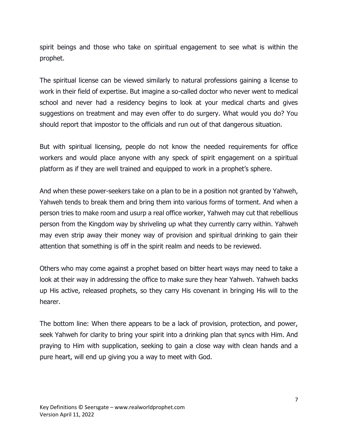spirit beings and those who take on spiritual engagement to see what is within the prophet.

The spiritual license can be viewed similarly to natural professions gaining a license to work in their field of expertise. But imagine a so-called doctor who never went to medical school and never had a residency begins to look at your medical charts and gives suggestions on treatment and may even offer to do surgery. What would you do? You should report that impostor to the officials and run out of that dangerous situation.

But with spiritual licensing, people do not know the needed requirements for office workers and would place anyone with any speck of spirit engagement on a spiritual platform as if they are well trained and equipped to work in a prophet's sphere.

And when these power-seekers take on a plan to be in a position not granted by Yahweh, Yahweh tends to break them and bring them into various forms of torment. And when a person tries to make room and usurp a real office worker, Yahweh may cut that rebellious person from the Kingdom way by shriveling up what they currently carry within. Yahweh may even strip away their money way of provision and spiritual drinking to gain their attention that something is off in the spirit realm and needs to be reviewed.

Others who may come against a prophet based on bitter heart ways may need to take a look at their way in addressing the office to make sure they hear Yahweh. Yahweh backs up His active, released prophets, so they carry His covenant in bringing His will to the hearer.

The bottom line: When there appears to be a lack of provision, protection, and power, seek Yahweh for clarity to bring your spirit into a drinking plan that syncs with Him. And praying to Him with supplication, seeking to gain a close way with clean hands and a pure heart, will end up giving you a way to meet with God.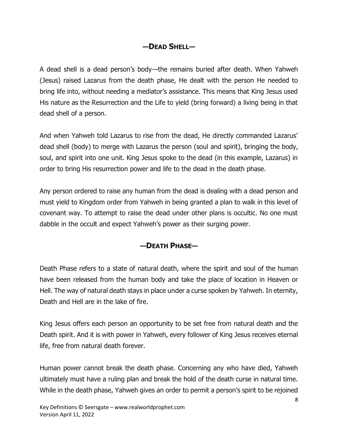# **—DEAD SHELL—**

A dead shell is a dead person's body—the remains buried after death. When Yahweh (Jesus) raised Lazarus from the death phase, He dealt with the person He needed to bring life into, without needing a mediator's assistance. This means that King Jesus used His nature as the Resurrection and the Life to yield (bring forward) a living being in that dead shell of a person.

And when Yahweh told Lazarus to rise from the dead, He directly commanded Lazarus' dead shell (body) to merge with Lazarus the person (soul and spirit), bringing the body, soul, and spirit into one unit. King Jesus spoke to the dead (in this example, Lazarus) in order to bring His resurrection power and life to the dead in the death phase.

Any person ordered to raise any human from the dead is dealing with a dead person and must yield to Kingdom order from Yahweh in being granted a plan to walk in this level of covenant way. To attempt to raise the dead under other plans is occultic. No one must dabble in the occult and expect Yahweh's power as their surging power.

# **—DEATH PHASE—**

Death Phase refers to a state of natural death, where the spirit and soul of the human have been released from the human body and take the place of location in Heaven or Hell. The way of natural death stays in place under a curse spoken by Yahweh. In eternity, Death and Hell are in the lake of fire.

King Jesus offers each person an opportunity to be set free from natural death and the Death spirit. And it is with power in Yahweh, every follower of King Jesus receives eternal life, free from natural death forever.

Human power cannot break the death phase. Concerning any who have died, Yahweh ultimately must have a ruling plan and break the hold of the death curse in natural time. While in the death phase, Yahweh gives an order to permit a person's spirit to be rejoined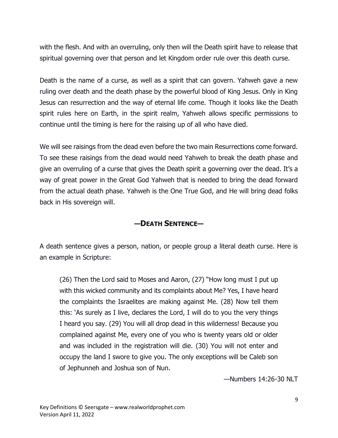with the flesh. And with an overruling, only then will the Death spirit have to release that spiritual governing over that person and let Kingdom order rule over this death curse.

Death is the name of a curse, as well as a spirit that can govern. Yahweh gave a new ruling over death and the death phase by the powerful blood of King Jesus. Only in King Jesus can resurrection and the way of eternal life come. Though it looks like the Death spirit rules here on Earth, in the spirit realm, Yahweh allows specific permissions to continue until the timing is here for the raising up of all who have died.

We will see raisings from the dead even before the two main Resurrections come forward. To see these raisings from the dead would need Yahweh to break the death phase and give an overruling of a curse that gives the Death spirit a governing over the dead. It's a way of great power in the Great God Yahweh that is needed to bring the dead forward from the actual death phase. Yahweh is the One True God, and He will bring dead folks back in His sovereign will.

### **—DEATH SENTENCE—**

A death sentence gives a person, nation, or people group a literal death curse. Here is an example in Scripture:

(26) Then the Lord said to Moses and Aaron, (27) "How long must I put up with this wicked community and its complaints about Me? Yes, I have heard the complaints the Israelites are making against Me. (28) Now tell them this: 'As surely as I live, declares the Lord, I will do to you the very things I heard you say. (29) You will all drop dead in this wilderness! Because you complained against Me, every one of you who is twenty years old or older and was included in the registration will die. (30) You will not enter and occupy the land I swore to give you. The only exceptions will be Caleb son of Jephunneh and Joshua son of Nun.

—Numbers 14:26-30 NLT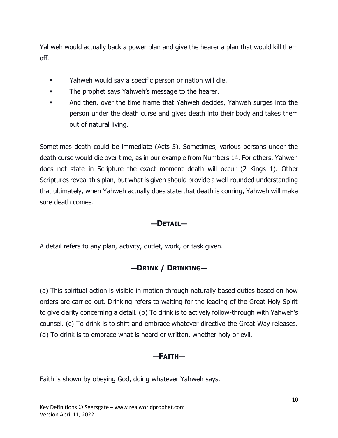Yahweh would actually back a power plan and give the hearer a plan that would kill them off.

- **EXECT** Yahweh would say a specific person or nation will die.
- **•** The prophet says Yahweh's message to the hearer.
- And then, over the time frame that Yahweh decides, Yahweh surges into the person under the death curse and gives death into their body and takes them out of natural living.

Sometimes death could be immediate (Acts 5). Sometimes, various persons under the death curse would die over time, as in our example from Numbers 14. For others, Yahweh does not state in Scripture the exact moment death will occur (2 Kings 1). Other Scriptures reveal this plan, but what is given should provide a well-rounded understanding that ultimately, when Yahweh actually does state that death is coming, Yahweh will make sure death comes.

## **—DETAIL—**

A detail refers to any plan, activity, outlet, work, or task given.

# **—DRINK / DRINKING—**

(a) This spiritual action is visible in motion through naturally based duties based on how orders are carried out. Drinking refers to waiting for the leading of the Great Holy Spirit to give clarity concerning a detail. (b) To drink is to actively follow-through with Yahweh's counsel. (c) To drink is to shift and embrace whatever directive the Great Way releases. (d) To drink is to embrace what is heard or written, whether holy or evil.

## **—FAITH—**

Faith is shown by obeying God, doing whatever Yahweh says.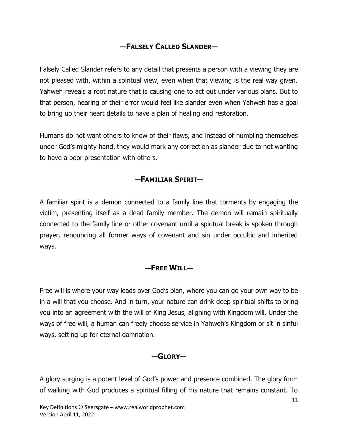# **—FALSELY CALLED SLANDER—**

Falsely Called Slander refers to any detail that presents a person with a viewing they are not pleased with, within a spiritual view, even when that viewing is the real way given. Yahweh reveals a root nature that is causing one to act out under various plans. But to that person, hearing of their error would feel like slander even when Yahweh has a goal to bring up their heart details to have a plan of healing and restoration.

Humans do not want others to know of their flaws, and instead of humbling themselves under God's mighty hand, they would mark any correction as slander due to not wanting to have a poor presentation with others.

## **—FAMILIAR SPIRIT—**

A familiar spirit is a demon connected to a family line that torments by engaging the victim, presenting itself as a dead family member. The demon will remain spiritually connected to the family line or other covenant until a spiritual break is spoken through prayer, renouncing all former ways of covenant and sin under occultic and inherited ways.

### **—FREE WILL—**

Free will is where your way leads over God's plan, where you can go your own way to be in a will that you choose. And in turn, your nature can drink deep spiritual shifts to bring you into an agreement with the will of King Jesus, aligning with Kingdom will. Under the ways of free will, a human can freely choose service in Yahweh's Kingdom or sit in sinful ways, setting up for eternal damnation.

### **—GLORY—**

A glory surging is a potent level of God's power and presence combined. The glory form of walking with God produces a spiritual filling of His nature that remains constant. To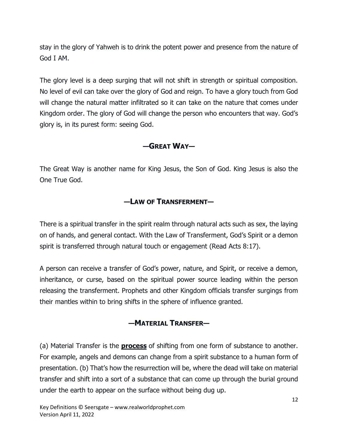stay in the glory of Yahweh is to drink the potent power and presence from the nature of God I AM.

The glory level is a deep surging that will not shift in strength or spiritual composition. No level of evil can take over the glory of God and reign. To have a glory touch from God will change the natural matter infiltrated so it can take on the nature that comes under Kingdom order. The glory of God will change the person who encounters that way. God's glory is, in its purest form: seeing God.

### **—GREAT WAY—**

The Great Way is another name for King Jesus, the Son of God. King Jesus is also the One True God.

### **—LAW OF TRANSFERMENT—**

There is a spiritual transfer in the spirit realm through natural acts such as sex, the laying on of hands, and general contact. With the Law of Transferment, God's Spirit or a demon spirit is transferred through natural touch or engagement (Read Acts 8:17).

A person can receive a transfer of God's power, nature, and Spirit, or receive a demon, inheritance, or curse, based on the spiritual power source leading within the person releasing the transferment. Prophets and other Kingdom officials transfer surgings from their mantles within to bring shifts in the sphere of influence granted.

## **—MATERIAL TRANSFER—**

(a) Material Transfer is the **process** of shifting from one form of substance to another. For example, angels and demons can change from a spirit substance to a human form of presentation. (b) That's how the resurrection will be, where the dead will take on material transfer and shift into a sort of a substance that can come up through the burial ground under the earth to appear on the surface without being dug up.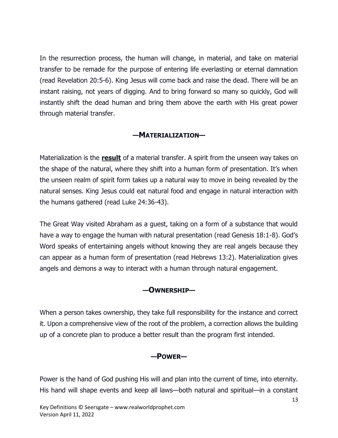In the resurrection process, the human will change, in material, and take on material transfer to be remade for the purpose of entering life everlasting or eternal damnation (read Revelation 20:5-6). King Jesus will come back and raise the dead. There will be an instant raising, not years of digging. And to bring forward so many so quickly, God will instantly shift the dead human and bring them above the earth with His great power through material transfer.

### **—MATERIALIZATION—**

Materialization is the **result** of a material transfer. A spirit from the unseen way takes on the shape of the natural, where they shift into a human form of presentation. It's when the unseen realm of spirit form takes up a natural way to move in being revealed by the natural senses. King Jesus could eat natural food and engage in natural interaction with the humans gathered (read Luke 24:36-43).

The Great Way visited Abraham as a guest, taking on a form of a substance that would have a way to engage the human with natural presentation (read Genesis 18:1-8). God's Word speaks of entertaining angels without knowing they are real angels because they can appear as a human form of presentation (read Hebrews 13:2). Materialization gives angels and demons a way to interact with a human through natural engagement.

### **—OWNERSHIP—**

When a person takes ownership, they take full responsibility for the instance and correct it. Upon a comprehensive view of the root of the problem, a correction allows the building up of a concrete plan to produce a better result than the program first intended.

#### **—POWER—**

Power is the hand of God pushing His will and plan into the current of time, into eternity. His hand will shape events and keep all laws—both natural and spiritual—in a constant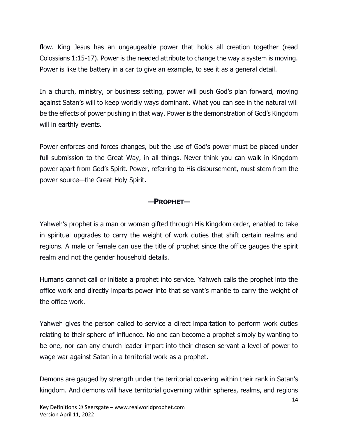flow. King Jesus has an ungaugeable power that holds all creation together (read Colossians 1:15-17). Power is the needed attribute to change the way a system is moving. Power is like the battery in a car to give an example, to see it as a general detail.

In a church, ministry, or business setting, power will push God's plan forward, moving against Satan's will to keep worldly ways dominant. What you can see in the natural will be the effects of power pushing in that way. Power is the demonstration of God's Kingdom will in earthly events.

Power enforces and forces changes, but the use of God's power must be placed under full submission to the Great Way, in all things. Never think you can walk in Kingdom power apart from God's Spirit. Power, referring to His disbursement, must stem from the power source—the Great Holy Spirit.

### **—PROPHET—**

Yahweh's prophet is a man or woman gifted through His Kingdom order, enabled to take in spiritual upgrades to carry the weight of work duties that shift certain realms and regions. A male or female can use the title of prophet since the office gauges the spirit realm and not the gender household details.

Humans cannot call or initiate a prophet into service. Yahweh calls the prophet into the office work and directly imparts power into that servant's mantle to carry the weight of the office work.

Yahweh gives the person called to service a direct impartation to perform work duties relating to their sphere of influence. No one can become a prophet simply by wanting to be one, nor can any church leader impart into their chosen servant a level of power to wage war against Satan in a territorial work as a prophet.

Demons are gauged by strength under the territorial covering within their rank in Satan's kingdom. And demons will have territorial governing within spheres, realms, and regions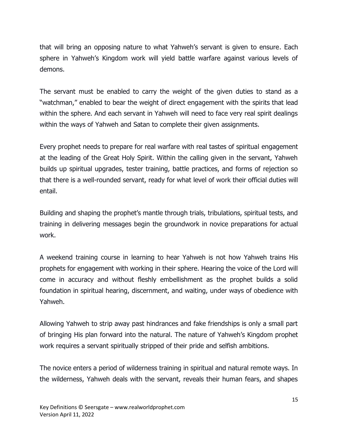that will bring an opposing nature to what Yahweh's servant is given to ensure. Each sphere in Yahweh's Kingdom work will yield battle warfare against various levels of demons.

The servant must be enabled to carry the weight of the given duties to stand as a "watchman," enabled to bear the weight of direct engagement with the spirits that lead within the sphere. And each servant in Yahweh will need to face very real spirit dealings within the ways of Yahweh and Satan to complete their given assignments.

Every prophet needs to prepare for real warfare with real tastes of spiritual engagement at the leading of the Great Holy Spirit. Within the calling given in the servant, Yahweh builds up spiritual upgrades, tester training, battle practices, and forms of rejection so that there is a well-rounded servant, ready for what level of work their official duties will entail.

Building and shaping the prophet's mantle through trials, tribulations, spiritual tests, and training in delivering messages begin the groundwork in novice preparations for actual work.

A weekend training course in learning to hear Yahweh is not how Yahweh trains His prophets for engagement with working in their sphere. Hearing the voice of the Lord will come in accuracy and without fleshly embellishment as the prophet builds a solid foundation in spiritual hearing, discernment, and waiting, under ways of obedience with Yahweh.

Allowing Yahweh to strip away past hindrances and fake friendships is only a small part of bringing His plan forward into the natural. The nature of Yahweh's Kingdom prophet work requires a servant spiritually stripped of their pride and selfish ambitions.

The novice enters a period of wilderness training in spiritual and natural remote ways. In the wilderness, Yahweh deals with the servant, reveals their human fears, and shapes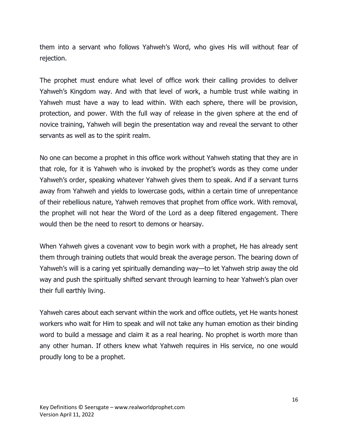them into a servant who follows Yahweh's Word, who gives His will without fear of rejection.

The prophet must endure what level of office work their calling provides to deliver Yahweh's Kingdom way. And with that level of work, a humble trust while waiting in Yahweh must have a way to lead within. With each sphere, there will be provision, protection, and power. With the full way of release in the given sphere at the end of novice training, Yahweh will begin the presentation way and reveal the servant to other servants as well as to the spirit realm.

No one can become a prophet in this office work without Yahweh stating that they are in that role, for it is Yahweh who is invoked by the prophet's words as they come under Yahweh's order, speaking whatever Yahweh gives them to speak. And if a servant turns away from Yahweh and yields to lowercase gods, within a certain time of unrepentance of their rebellious nature, Yahweh removes that prophet from office work. With removal, the prophet will not hear the Word of the Lord as a deep filtered engagement. There would then be the need to resort to demons or hearsay.

When Yahweh gives a covenant vow to begin work with a prophet, He has already sent them through training outlets that would break the average person. The bearing down of Yahweh's will is a caring yet spiritually demanding way—to let Yahweh strip away the old way and push the spiritually shifted servant through learning to hear Yahweh's plan over their full earthly living.

Yahweh cares about each servant within the work and office outlets, yet He wants honest workers who wait for Him to speak and will not take any human emotion as their binding word to build a message and claim it as a real hearing. No prophet is worth more than any other human. If others knew what Yahweh requires in His service, no one would proudly long to be a prophet.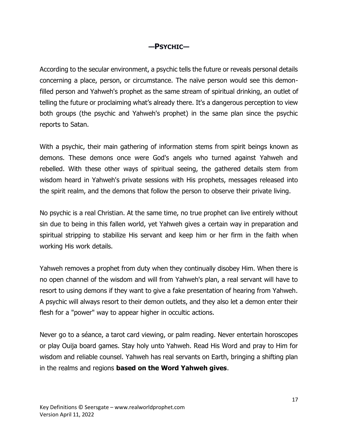## **—PSYCHIC—**

According to the secular environment, a psychic tells the future or reveals personal details concerning a place, person, or circumstance. The naïve person would see this demonfilled person and Yahweh's prophet as the same stream of spiritual drinking, an outlet of telling the future or proclaiming what's already there. It's a dangerous perception to view both groups (the psychic and Yahweh's prophet) in the same plan since the psychic reports to Satan.

With a psychic, their main gathering of information stems from spirit beings known as demons. These demons once were God's angels who turned against Yahweh and rebelled. With these other ways of spiritual seeing, the gathered details stem from wisdom heard in Yahweh's private sessions with His prophets, messages released into the spirit realm, and the demons that follow the person to observe their private living.

No psychic is a real Christian. At the same time, no true prophet can live entirely without sin due to being in this fallen world, yet Yahweh gives a certain way in preparation and spiritual stripping to stabilize His servant and keep him or her firm in the faith when working His work details.

Yahweh removes a prophet from duty when they continually disobey Him. When there is no open channel of the wisdom and will from Yahweh's plan, a real servant will have to resort to using demons if they want to give a fake presentation of hearing from Yahweh. A psychic will always resort to their demon outlets, and they also let a demon enter their flesh for a "power" way to appear higher in occultic actions.

Never go to a séance, a tarot card viewing, or palm reading. Never entertain horoscopes or play Ouija board games. Stay holy unto Yahweh. Read His Word and pray to Him for wisdom and reliable counsel. Yahweh has real servants on Earth, bringing a shifting plan in the realms and regions **based on the Word Yahweh gives**.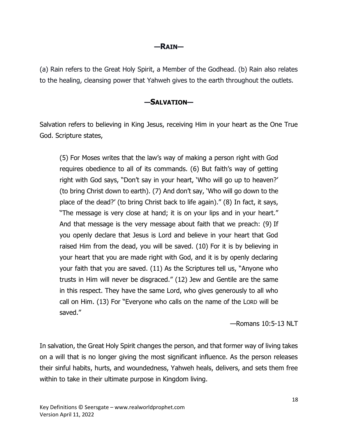#### **—RAIN—**

(a) Rain refers to the Great Holy Spirit, a Member of the Godhead. (b) Rain also relates to the healing, cleansing power that Yahweh gives to the earth throughout the outlets.

#### **—SALVATION—**

Salvation refers to believing in King Jesus, receiving Him in your heart as the One True God. Scripture states,

(5) For Moses writes that the law's way of making a person right with God requires obedience to all of its commands. (6) But faith's way of getting right with God says, "Don't say in your heart, 'Who will go up to heaven?' (to bring Christ down to earth). (7) And don't say, 'Who will go down to the place of the dead?' (to bring Christ back to life again)." (8) In fact, it says, "The message is very close at hand; it is on your lips and in your heart." And that message is the very message about faith that we preach: (9) If you openly declare that Jesus is Lord and believe in your heart that God raised Him from the dead, you will be saved. (10) For it is by believing in your heart that you are made right with God, and it is by openly declaring your faith that you are saved. (11) As the Scriptures tell us, "Anyone who trusts in Him will never be disgraced." (12) Jew and Gentile are the same in this respect. They have the same Lord, who gives generously to all who call on Him. (13) For "Everyone who calls on the name of the LORD will be saved."

—Romans 10:5-13 NLT

In salvation, the Great Holy Spirit changes the person, and that former way of living takes on a will that is no longer giving the most significant influence. As the person releases their sinful habits, hurts, and woundedness, Yahweh heals, delivers, and sets them free within to take in their ultimate purpose in Kingdom living.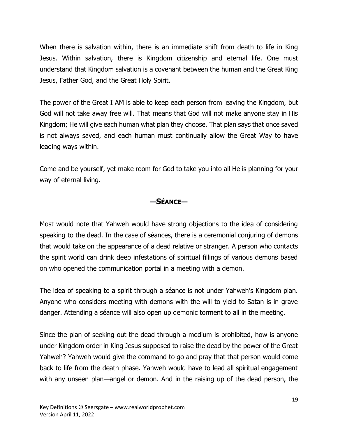When there is salvation within, there is an immediate shift from death to life in King Jesus. Within salvation, there is Kingdom citizenship and eternal life. One must understand that Kingdom salvation is a covenant between the human and the Great King Jesus, Father God, and the Great Holy Spirit.

The power of the Great I AM is able to keep each person from leaving the Kingdom, but God will not take away free will. That means that God will not make anyone stay in His Kingdom; He will give each human what plan they choose. That plan says that once saved is not always saved, and each human must continually allow the Great Way to have leading ways within.

Come and be yourself, yet make room for God to take you into all He is planning for your way of eternal living.

## **—SÉANCE—**

Most would note that Yahweh would have strong objections to the idea of considering speaking to the dead. In the case of séances, there is a ceremonial conjuring of demons that would take on the appearance of a dead relative or stranger. A person who contacts the spirit world can drink deep infestations of spiritual fillings of various demons based on who opened the communication portal in a meeting with a demon.

The idea of speaking to a spirit through a séance is not under Yahweh's Kingdom plan. Anyone who considers meeting with demons with the will to yield to Satan is in grave danger. Attending a séance will also open up demonic torment to all in the meeting.

Since the plan of seeking out the dead through a medium is prohibited, how is anyone under Kingdom order in King Jesus supposed to raise the dead by the power of the Great Yahweh? Yahweh would give the command to go and pray that that person would come back to life from the death phase. Yahweh would have to lead all spiritual engagement with any unseen plan—angel or demon. And in the raising up of the dead person, the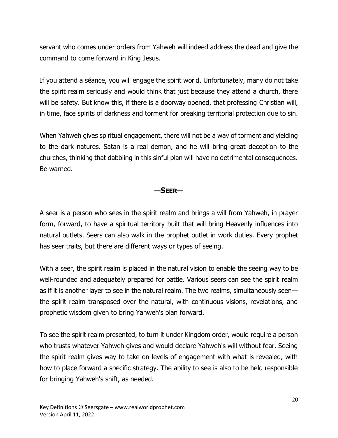servant who comes under orders from Yahweh will indeed address the dead and give the command to come forward in King Jesus.

If you attend a séance, you will engage the spirit world. Unfortunately, many do not take the spirit realm seriously and would think that just because they attend a church, there will be safety. But know this, if there is a doorway opened, that professing Christian will, in time, face spirits of darkness and torment for breaking territorial protection due to sin.

When Yahweh gives spiritual engagement, there will not be a way of torment and yielding to the dark natures. Satan is a real demon, and he will bring great deception to the churches, thinking that dabbling in this sinful plan will have no detrimental consequences. Be warned.

#### **—SEER—**

A seer is a person who sees in the spirit realm and brings a will from Yahweh, in prayer form, forward, to have a spiritual territory built that will bring Heavenly influences into natural outlets. Seers can also walk in the prophet outlet in work duties. Every prophet has seer traits, but there are different ways or types of seeing.

With a seer, the spirit realm is placed in the natural vision to enable the seeing way to be well-rounded and adequately prepared for battle. Various seers can see the spirit realm as if it is another layer to see in the natural realm. The two realms, simultaneously seen the spirit realm transposed over the natural, with continuous visions, revelations, and prophetic wisdom given to bring Yahweh's plan forward.

To see the spirit realm presented, to turn it under Kingdom order, would require a person who trusts whatever Yahweh gives and would declare Yahweh's will without fear. Seeing the spirit realm gives way to take on levels of engagement with what is revealed, with how to place forward a specific strategy. The ability to see is also to be held responsible for bringing Yahweh's shift, as needed.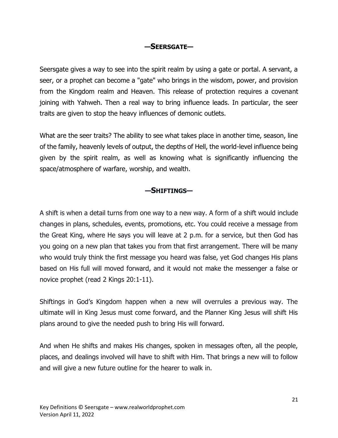## **—SEERSGATE—**

Seersgate gives a way to see into the spirit realm by using a gate or portal. A servant, a seer, or a prophet can become a "gate" who brings in the wisdom, power, and provision from the Kingdom realm and Heaven. This release of protection requires a covenant joining with Yahweh. Then a real way to bring influence leads. In particular, the seer traits are given to stop the heavy influences of demonic outlets.

What are the seer traits? The ability to see what takes place in another time, season, line of the family, heavenly levels of output, the depths of Hell, the world-level influence being given by the spirit realm, as well as knowing what is significantly influencing the space/atmosphere of warfare, worship, and wealth.

#### **—SHIFTINGS—**

A shift is when a detail turns from one way to a new way. A form of a shift would include changes in plans, schedules, events, promotions, etc. You could receive a message from the Great King, where He says you will leave at 2 p.m. for a service, but then God has you going on a new plan that takes you from that first arrangement. There will be many who would truly think the first message you heard was false, yet God changes His plans based on His full will moved forward, and it would not make the messenger a false or novice prophet (read 2 Kings 20:1-11).

Shiftings in God's Kingdom happen when a new will overrules a previous way. The ultimate will in King Jesus must come forward, and the Planner King Jesus will shift His plans around to give the needed push to bring His will forward.

And when He shifts and makes His changes, spoken in messages often, all the people, places, and dealings involved will have to shift with Him. That brings a new will to follow and will give a new future outline for the hearer to walk in.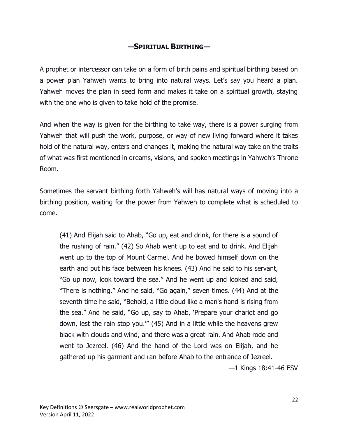## **—SPIRITUAL BIRTHING—**

A prophet or intercessor can take on a form of birth pains and spiritual birthing based on a power plan Yahweh wants to bring into natural ways. Let's say you heard a plan. Yahweh moves the plan in seed form and makes it take on a spiritual growth, staying with the one who is given to take hold of the promise.

And when the way is given for the birthing to take way, there is a power surging from Yahweh that will push the work, purpose, or way of new living forward where it takes hold of the natural way, enters and changes it, making the natural way take on the traits of what was first mentioned in dreams, visions, and spoken meetings in Yahweh's Throne Room.

Sometimes the servant birthing forth Yahweh's will has natural ways of moving into a birthing position, waiting for the power from Yahweh to complete what is scheduled to come.

(41) And Elijah said to Ahab, "Go up, eat and drink, for there is a sound of the rushing of rain." (42) So Ahab went up to eat and to drink. And Elijah went up to the top of Mount Carmel. And he bowed himself down on the earth and put his face between his knees. (43) And he said to his servant, "Go up now, look toward the sea." And he went up and looked and said, "There is nothing." And he said, "Go again," seven times. (44) And at the seventh time he said, "Behold, a little cloud like a man's hand is rising from the sea." And he said, "Go up, say to Ahab, 'Prepare your chariot and go down, lest the rain stop you.'" (45) And in a little while the heavens grew black with clouds and wind, and there was a great rain. And Ahab rode and went to Jezreel. (46) And the hand of the Lord was on Elijah, and he gathered up his garment and ran before Ahab to the entrance of Jezreel.

—1 Kings 18:41-46 ESV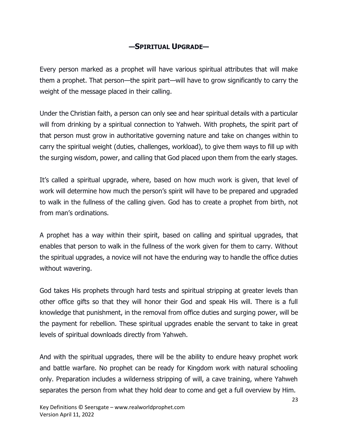# **—SPIRITUAL UPGRADE—**

Every person marked as a prophet will have various spiritual attributes that will make them a prophet. That person—the spirit part—will have to grow significantly to carry the weight of the message placed in their calling.

Under the Christian faith, a person can only see and hear spiritual details with a particular will from drinking by a spiritual connection to Yahweh. With prophets, the spirit part of that person must grow in authoritative governing nature and take on changes within to carry the spiritual weight (duties, challenges, workload), to give them ways to fill up with the surging wisdom, power, and calling that God placed upon them from the early stages.

It's called a spiritual upgrade, where, based on how much work is given, that level of work will determine how much the person's spirit will have to be prepared and upgraded to walk in the fullness of the calling given. God has to create a prophet from birth, not from man's ordinations.

A prophet has a way within their spirit, based on calling and spiritual upgrades, that enables that person to walk in the fullness of the work given for them to carry. Without the spiritual upgrades, a novice will not have the enduring way to handle the office duties without wavering.

God takes His prophets through hard tests and spiritual stripping at greater levels than other office gifts so that they will honor their God and speak His will. There is a full knowledge that punishment, in the removal from office duties and surging power, will be the payment for rebellion. These spiritual upgrades enable the servant to take in great levels of spiritual downloads directly from Yahweh.

And with the spiritual upgrades, there will be the ability to endure heavy prophet work and battle warfare. No prophet can be ready for Kingdom work with natural schooling only. Preparation includes a wilderness stripping of will, a cave training, where Yahweh separates the person from what they hold dear to come and get a full overview by Him.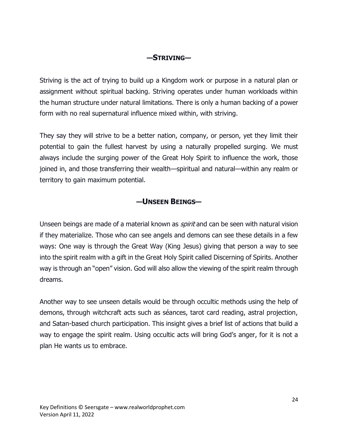### **—STRIVING—**

Striving is the act of trying to build up a Kingdom work or purpose in a natural plan or assignment without spiritual backing. Striving operates under human workloads within the human structure under natural limitations. There is only a human backing of a power form with no real supernatural influence mixed within, with striving.

They say they will strive to be a better nation, company, or person, yet they limit their potential to gain the fullest harvest by using a naturally propelled surging. We must always include the surging power of the Great Holy Spirit to influence the work, those joined in, and those transferring their wealth—spiritual and natural—within any realm or territory to gain maximum potential.

### **—UNSEEN BEINGS—**

Unseen beings are made of a material known as *spirit* and can be seen with natural vision if they materialize. Those who can see angels and demons can see these details in a few ways: One way is through the Great Way (King Jesus) giving that person a way to see into the spirit realm with a gift in the Great Holy Spirit called Discerning of Spirits. Another way is through an "open" vision. God will also allow the viewing of the spirit realm through dreams.

Another way to see unseen details would be through occultic methods using the help of demons, through witchcraft acts such as séances, tarot card reading, astral projection, and Satan-based church participation. This insight gives a brief list of actions that build a way to engage the spirit realm. Using occultic acts will bring God's anger, for it is not a plan He wants us to embrace.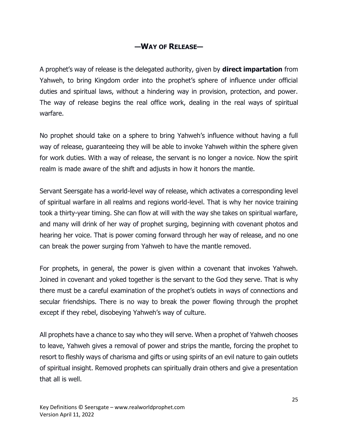## **—WAY OF RELEASE—**

A prophet's way of release is the delegated authority, given by **direct impartation** from Yahweh, to bring Kingdom order into the prophet's sphere of influence under official duties and spiritual laws, without a hindering way in provision, protection, and power. The way of release begins the real office work, dealing in the real ways of spiritual warfare.

No prophet should take on a sphere to bring Yahweh's influence without having a full way of release, guaranteeing they will be able to invoke Yahweh within the sphere given for work duties. With a way of release, the servant is no longer a novice. Now the spirit realm is made aware of the shift and adjusts in how it honors the mantle.

Servant Seersgate has a world-level way of release, which activates a corresponding level of spiritual warfare in all realms and regions world-level. That is why her novice training took a thirty-year timing. She can flow at will with the way she takes on spiritual warfare, and many will drink of her way of prophet surging, beginning with covenant photos and hearing her voice. That is power coming forward through her way of release, and no one can break the power surging from Yahweh to have the mantle removed.

For prophets, in general, the power is given within a covenant that invokes Yahweh. Joined in covenant and yoked together is the servant to the God they serve. That is why there must be a careful examination of the prophet's outlets in ways of connections and secular friendships. There is no way to break the power flowing through the prophet except if they rebel, disobeying Yahweh's way of culture.

All prophets have a chance to say who they will serve. When a prophet of Yahweh chooses to leave, Yahweh gives a removal of power and strips the mantle, forcing the prophet to resort to fleshly ways of charisma and gifts or using spirits of an evil nature to gain outlets of spiritual insight. Removed prophets can spiritually drain others and give a presentation that all is well.